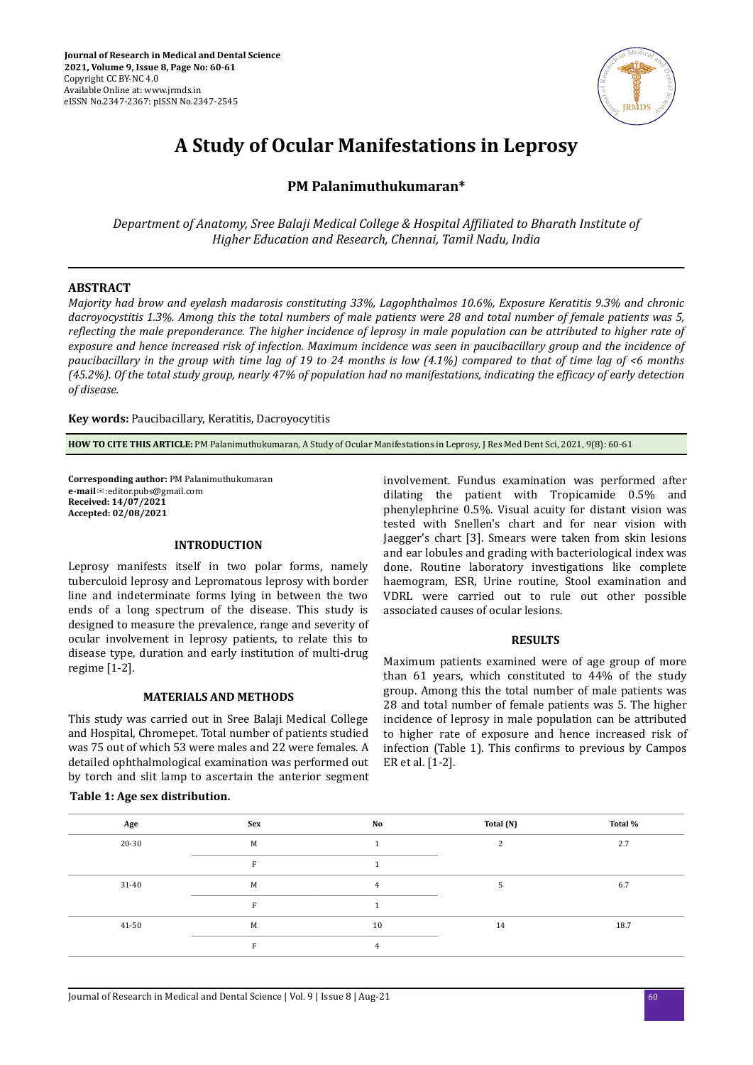

# **A Study of Ocular Manifestations in Leprosy**

# **PM Palanimuthukumaran\***

*Department of Anatomy, Sree Balaji Medical College & Hospital fϔed to Bharath Institute of Higher Education and Research, Chennai, Tamil Nadu, India*

# **ABSTRACT**

*Majority had brow and eyelash madarosis constituting 33%, Lagophthalmos 10.6%, Exposure Keratitis 9.3% and chronic dacroyocystitis 1.3%. Among this the total numbers of male patients were 28 and total number of female patients was 5, reflecting the male preponderance. The higher incidence of leprosy in male population can be attributed to higher rate of exposure and hence increased risk of infection. Maximum incidence was seen in paucibacillary group and the incidence of paucibacillary in the group with time lag of 19 to 24 months is low (4.1%) compared to that of time lag of <6 months (45.2%). Of the total study group, nearly 47% of population had no manifestations, indicating the efficacy of early detection of disease.*

**Key words:** Paucibacillary, Keratitis, Dacroyocytitis

**HOW TO CITE THIS ARTICLE:** PM Palanimuthukumaran, A Study of Ocular Manifestations in Leprosy, J Res Med Dent Sci, 2021, 9(8): 60-61

**Corresponding author:** PM Palanimuthukumaran **e-mail**✉:editor.pubs@gmail.com **Received: 14/07/2021 Accepted: 02/08/2021** 

#### **INTRODUCTION**

Leprosy manifests itself in two polar forms, namely tuberculoid leprosy and Lepromatous leprosy with border line and indeterminate forms lying in between the two ends of a long spectrum of the disease. This study is designed to measure the prevalence, range and severity of ocular involvement in leprosy patients, to relate this to disease type, duration and early institution of multi-drug regime [1-2].

# **MATERIALS AND METHODS**

This study was carried out in Sree Balaji Medical College and Hospital, Chromepet. Total number of patients studied was 75 out of which 53 were males and 22 were females. A detailed ophthalmological examination was performed out by torch and slit lamp to ascertain the anterior segment

#### **Table 1: Age sex distribution.**

involvement. Fundus examination was performed after dilating the patient with Tropicamide 0.5% and phenylephrine 0.5%. Visual acuity for distant vision was tested with Snellen's chart and for near vision with Jaegger's chart [3]. Smears were taken from skin lesions and ear lobules and grading with bacteriological index was done. Routine laboratory investigations like complete haemogram, ESR, Urine routine, Stool examination and VDRL were carried out to rule out other possible associated causes of ocular lesions.

#### **RESULTS**

Maximum patients examined were of age group of more than 61 years, which constituted to 44% of the study group. Among this the total number of male patients was 28 and total number of female patients was 5. The higher incidence of leprosy in male population can be attributed to higher rate of exposure and hence increased risk of infection (Table 1). This confirms to previous by Campos ER et al. [1-2].

| Age   | Sex | No | Total (N)    | Total % |
|-------|-----|----|--------------|---------|
| 20-30 | M   |    | $\mathbf{r}$ | 2.7     |
|       | R   |    |              |         |
| 31-40 | M   |    |              | 6.7     |
|       | R   |    |              |         |
| 41-50 | M   | 10 | 14           | 18.7    |
|       | E   |    |              |         |